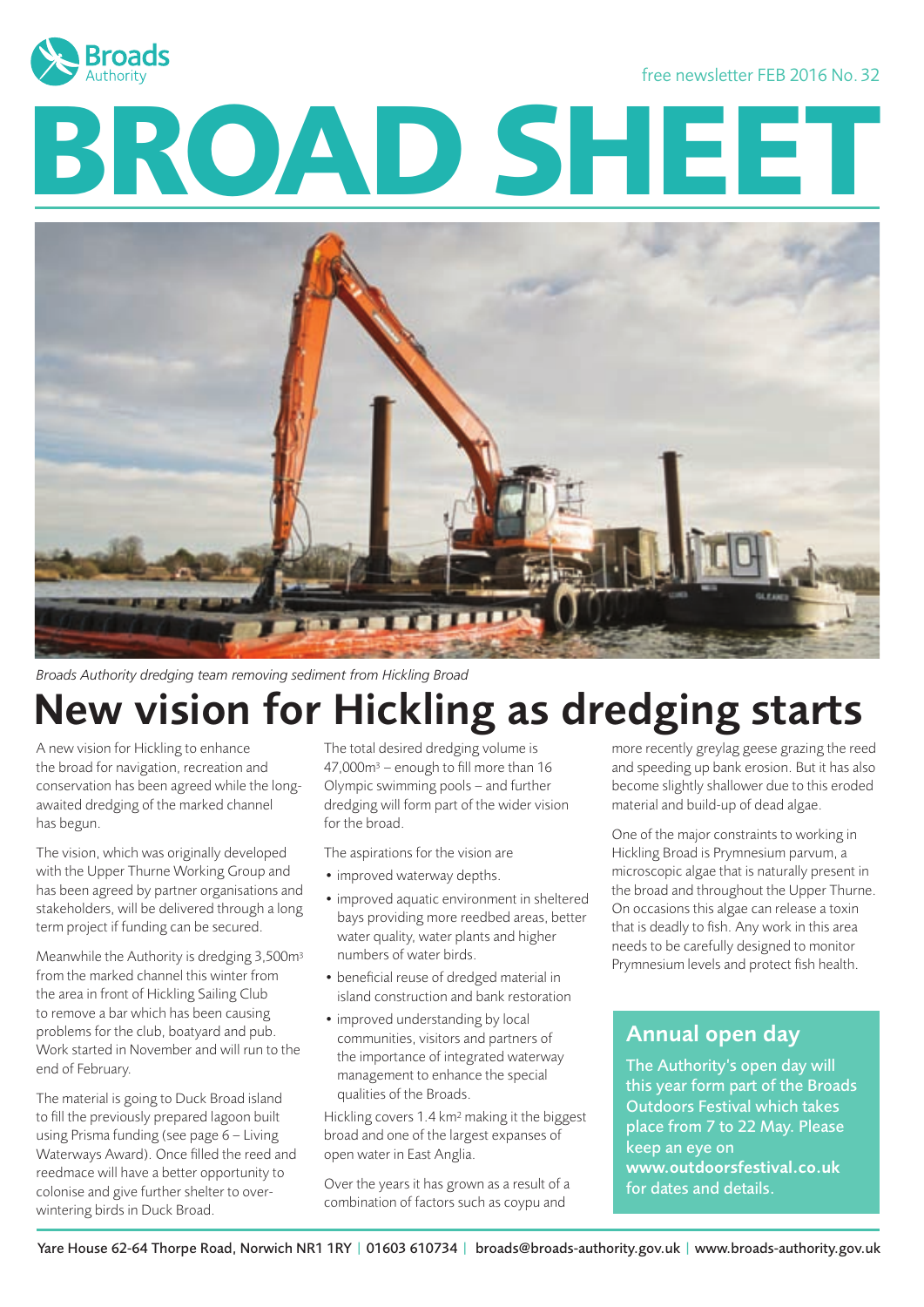

free newsletter FEB 2016 No. 32

# **BROAD SHEET**



*Broads Authority dredging team removing sediment from Hickling Broad*

# New vision for Hickling as dredging starts

A new vision for Hickling to enhance the broad for navigation, recreation and conservation has been agreed while the longawaited dredging of the marked channel has begun.

The vision, which was originally developed with the Upper Thurne Working Group and has been agreed by partner organisations and stakeholders, will be delivered through a long term project if funding can be secured.

Meanwhile the Authority is dredging 3,500m3 from the marked channel this winter from the area in front of Hickling Sailing Club to remove a bar which has been causing problems for the club, boatyard and pub. Work started in November and will run to the end of February.

The material is going to Duck Broad island to fill the previously prepared lagoon built using Prisma funding (see page 6 – Living Waterways Award). Once filled the reed and reedmace will have a better opportunity to colonise and give further shelter to overwintering birds in Duck Broad.

The total desired dredging volume is 47,000m3 – enough to fill more than 16 Olympic swimming pools – and further dredging will form part of the wider vision for the broad.

The aspirations for the vision are

- improved waterway depths.
- improved aquatic environment in sheltered bays providing more reedbed areas, better water quality, water plants and higher numbers of water birds.
- beneficial reuse of dredged material in island construction and bank restoration
- improved understanding by local communities, visitors and partners of the importance of integrated waterway management to enhance the special qualities of the Broads.

Hickling covers 1.4 km2 making it the biggest broad and one of the largest expanses of open water in East Anglia.

Over the years it has grown as a result of a combination of factors such as coypu and

more recently greylag geese grazing the reed and speeding up bank erosion. But it has also become slightly shallower due to this eroded material and build-up of dead algae.

One of the major constraints to working in Hickling Broad is Prymnesium parvum, a microscopic algae that is naturally present in the broad and throughout the Upper Thurne. On occasions this algae can release a toxin that is deadly to fish. Any work in this area needs to be carefully designed to monitor Prymnesium levels and protect fish health.

#### Annual open day

The Authority's open day will this year form part of the Broads Outdoors Festival which takes place from 7 to 22 May. Please keep an eye on www.outdoorsfestival.co.uk for dates and details.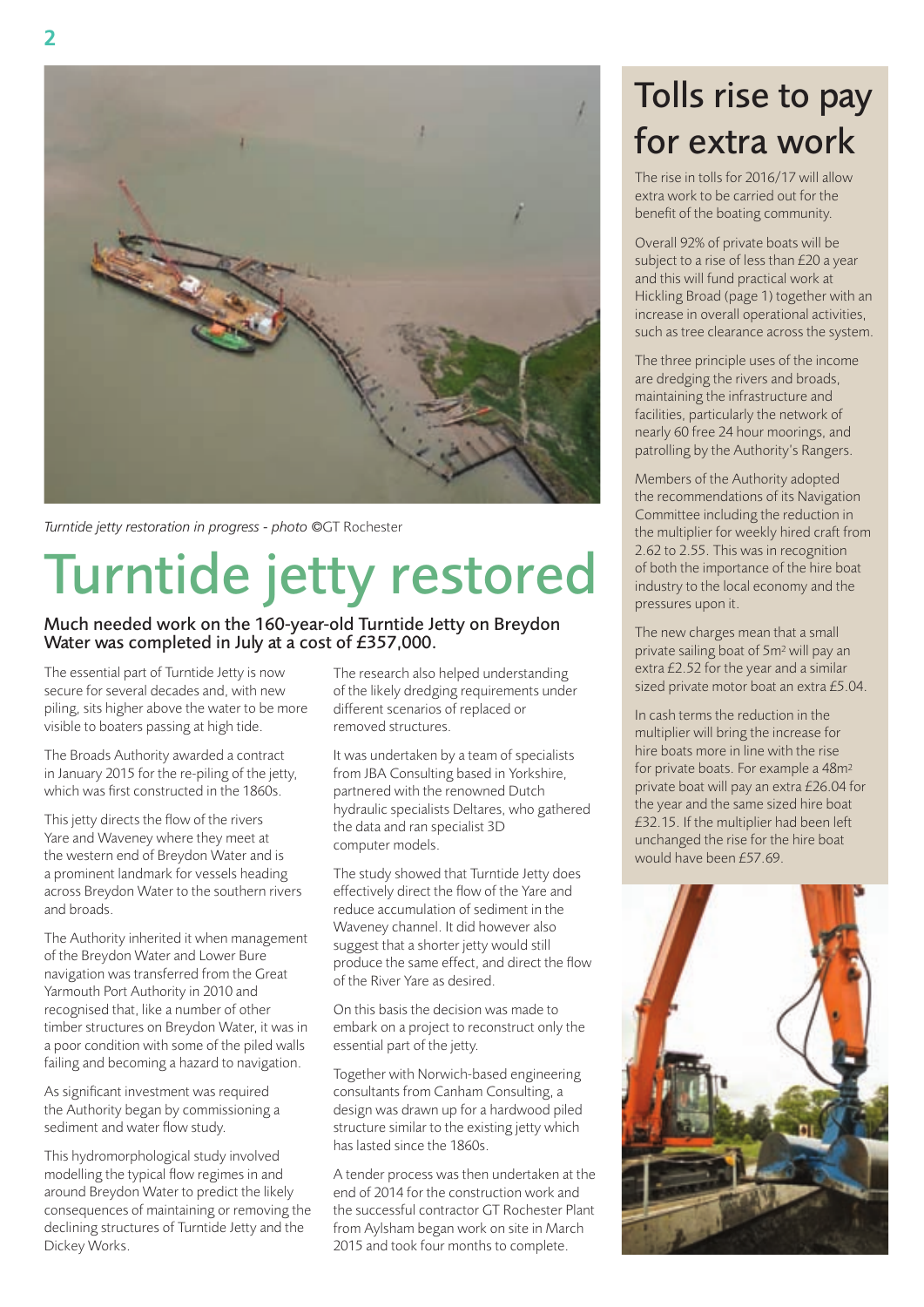

*Turntide jetty restoration in progress - photo ©*GT Rochester

# Turntide jetty restored

#### Much needed work on the 160-year-old Turntide Jetty on Breydon Water was completed in July at a cost of £357,000.

The essential part of Turntide Jetty is now secure for several decades and, with new piling, sits higher above the water to be more visible to boaters passing at high tide.

The Broads Authority awarded a contract in January 2015 for the re-piling of the jetty, which was first constructed in the 1860s.

This jetty directs the flow of the rivers Yare and Waveney where they meet at the western end of Breydon Water and is a prominent landmark for vessels heading across Breydon Water to the southern rivers and broads.

The Authority inherited it when management of the Breydon Water and Lower Bure navigation was transferred from the Great Yarmouth Port Authority in 2010 and recognised that, like a number of other timber structures on Breydon Water, it was in a poor condition with some of the piled walls failing and becoming a hazard to navigation.

As significant investment was required the Authority began by commissioning a sediment and water flow study.

This hydromorphological study involved modelling the typical flow regimes in and around Breydon Water to predict the likely consequences of maintaining or removing the declining structures of Turntide Jetty and the Dickey Works.

The research also helped understanding of the likely dredging requirements under different scenarios of replaced or removed structures.

It was undertaken by a team of specialists from JBA Consulting based in Yorkshire, partnered with the renowned Dutch hydraulic specialists Deltares, who gathered the data and ran specialist 3D computer models.

The study showed that Turntide Jetty does effectively direct the flow of the Yare and reduce accumulation of sediment in the Waveney channel. It did however also suggest that a shorter jetty would still produce the same effect, and direct the flow of the River Yare as desired.

On this basis the decision was made to embark on a project to reconstruct only the essential part of the jetty.

Together with Norwich-based engineering consultants from Canham Consulting, a design was drawn up for a hardwood piled structure similar to the existing jetty which has lasted since the 1860s.

A tender process was then undertaken at the end of 2014 for the construction work and the successful contractor GT Rochester Plant from Aylsham began work on site in March 2015 and took four months to complete.

# Tolls rise to pay for extra work

The rise in tolls for 2016/17 will allow extra work to be carried out for the benefit of the boating community.

Overall 92% of private boats will be subject to a rise of less than £20 a year and this will fund practical work at Hickling Broad (page 1) together with an increase in overall operational activities, such as tree clearance across the system.

The three principle uses of the income are dredging the rivers and broads, maintaining the infrastructure and facilities, particularly the network of nearly 60 free 24 hour moorings, and patrolling by the Authority's Rangers.

Members of the Authority adopted the recommendations of its Navigation Committee including the reduction in the multiplier for weekly hired craft from 2.62 to 2.55. This was in recognition of both the importance of the hire boat industry to the local economy and the pressures upon it.

The new charges mean that a small private sailing boat of 5m2 will pay an extra £2.52 for the year and a similar sized private motor boat an extra £5.04.

In cash terms the reduction in the multiplier will bring the increase for hire boats more in line with the rise for private boats. For example a 48m2 private boat will pay an extra £26.04 for the year and the same sized hire boat £32.15. If the multiplier had been left unchanged the rise for the hire boat would have been £57.69.

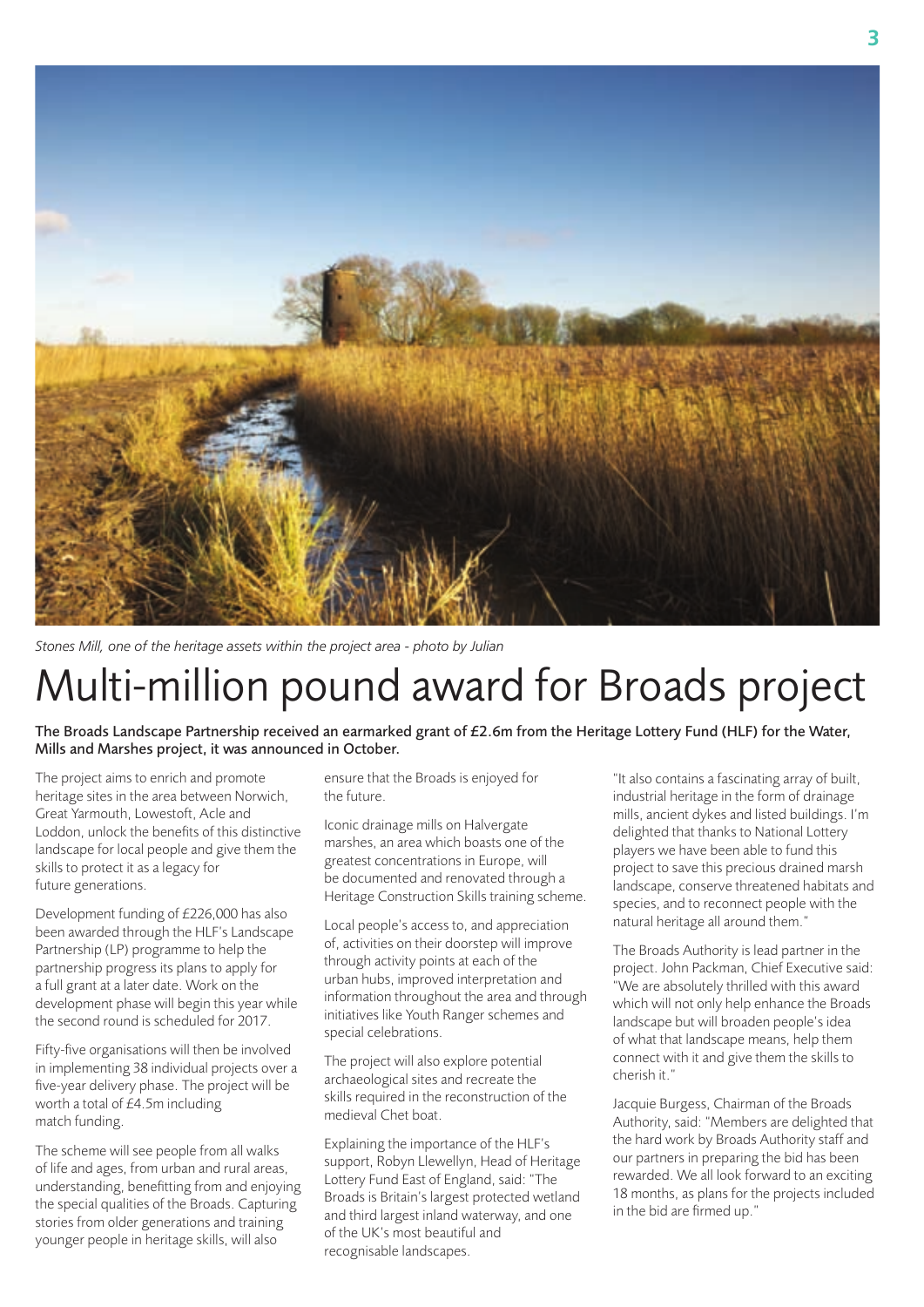

*Stones Mill, one of the heritage assets within the project area - photo by Julian* 

# Multi-million pound award for Broads project

The Broads Landscape Partnership received an earmarked grant of  $E2.6$ m from the Heritage Lottery Fund (HLF) for the Water, Mills and Marshes project, it was announced in October.

The project aims to enrich and promote heritage sites in the area between Norwich, Great Yarmouth, Lowestoft, Acle and Loddon, unlock the benefits of this distinctive landscape for local people and give them the skills to protect it as a legacy for future generations.

Development funding of £226,000 has also been awarded through the HLF's Landscape Partnership (LP) programme to help the partnership progress its plans to apply for a full grant at a later date. Work on the development phase will begin this year while the second round is scheduled for 2017.

Fifty-five organisations will then be involved in implementing 38 individual projects over a five-year delivery phase. The project will be worth a total of £4.5m including match funding.

The scheme will see people from all walks of life and ages, from urban and rural areas, understanding, benefitting from and enjoying the special qualities of the Broads. Capturing stories from older generations and training younger people in heritage skills, will also

ensure that the Broads is enjoyed for the future.

Iconic drainage mills on Halvergate marshes, an area which boasts one of the greatest concentrations in Europe, will be documented and renovated through a Heritage Construction Skills training scheme.

Local people's access to, and appreciation of, activities on their doorstep will improve through activity points at each of the urban hubs, improved interpretation and information throughout the area and through initiatives like Youth Ranger schemes and special celebrations.

The project will also explore potential archaeological sites and recreate the skills required in the reconstruction of the medieval Chet boat.

Explaining the importance of the HLF's support, Robyn Llewellyn, Head of Heritage Lottery Fund East of England, said: "The Broads is Britain's largest protected wetland and third largest inland waterway, and one of the UK's most beautiful and recognisable landscapes.

"It also contains a fascinating array of built, industrial heritage in the form of drainage mills, ancient dykes and listed buildings. I'm delighted that thanks to National Lottery players we have been able to fund this project to save this precious drained marsh landscape, conserve threatened habitats and species, and to reconnect people with the natural heritage all around them."

The Broads Authority is lead partner in the project. John Packman, Chief Executive said: "We are absolutely thrilled with this award which will not only help enhance the Broads landscape but will broaden people's idea of what that landscape means, help them connect with it and give them the skills to cherish it."

Jacquie Burgess, Chairman of the Broads Authority, said: "Members are delighted that the hard work by Broads Authority staff and our partners in preparing the bid has been rewarded. We all look forward to an exciting 18 months, as plans for the projects included in the bid are firmed up."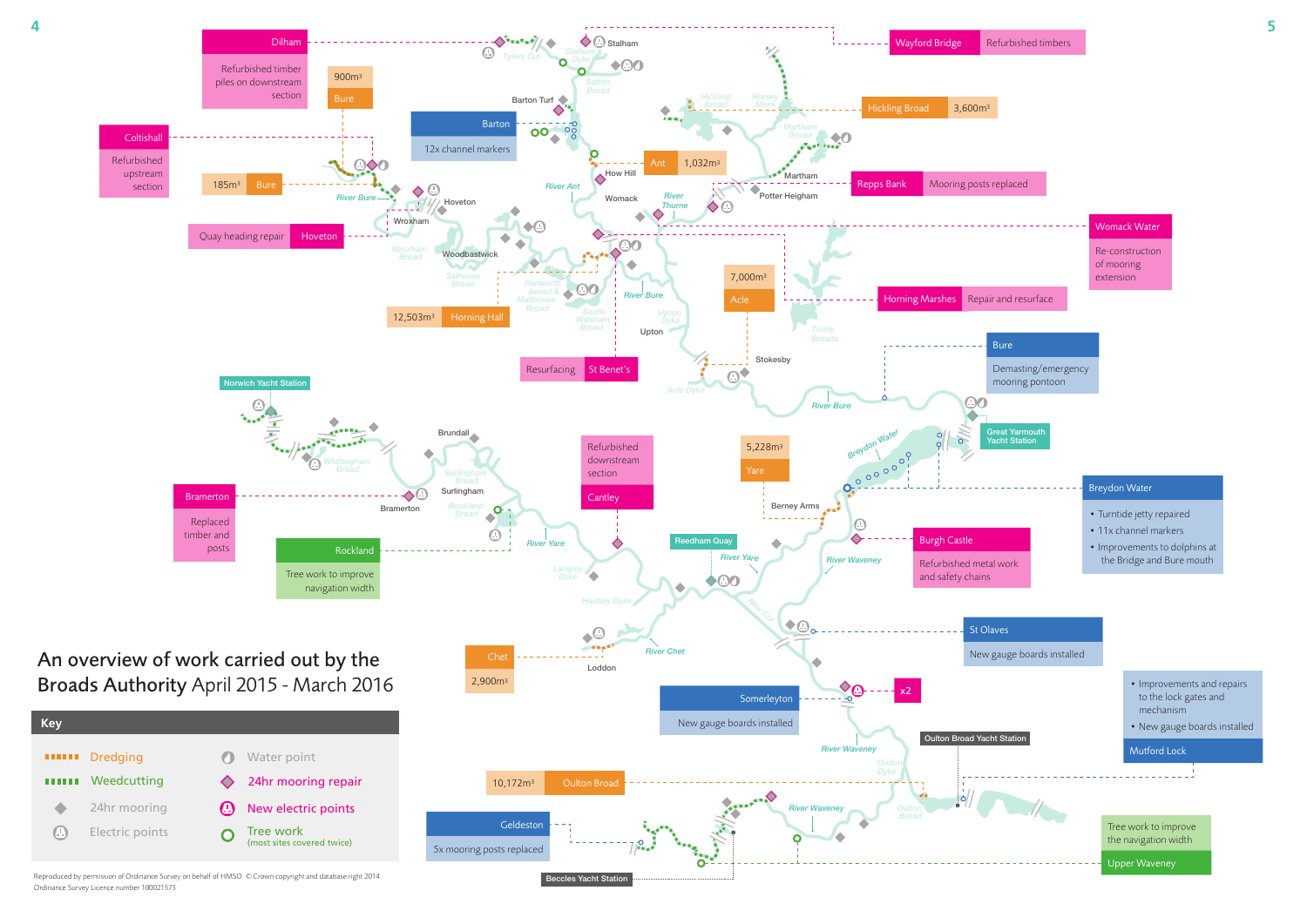

Reproduced by permission of Ordinance Survey on behalf of HMSO. © Crown copyright and database right 2014. Ordinance Survey Licence number 100021573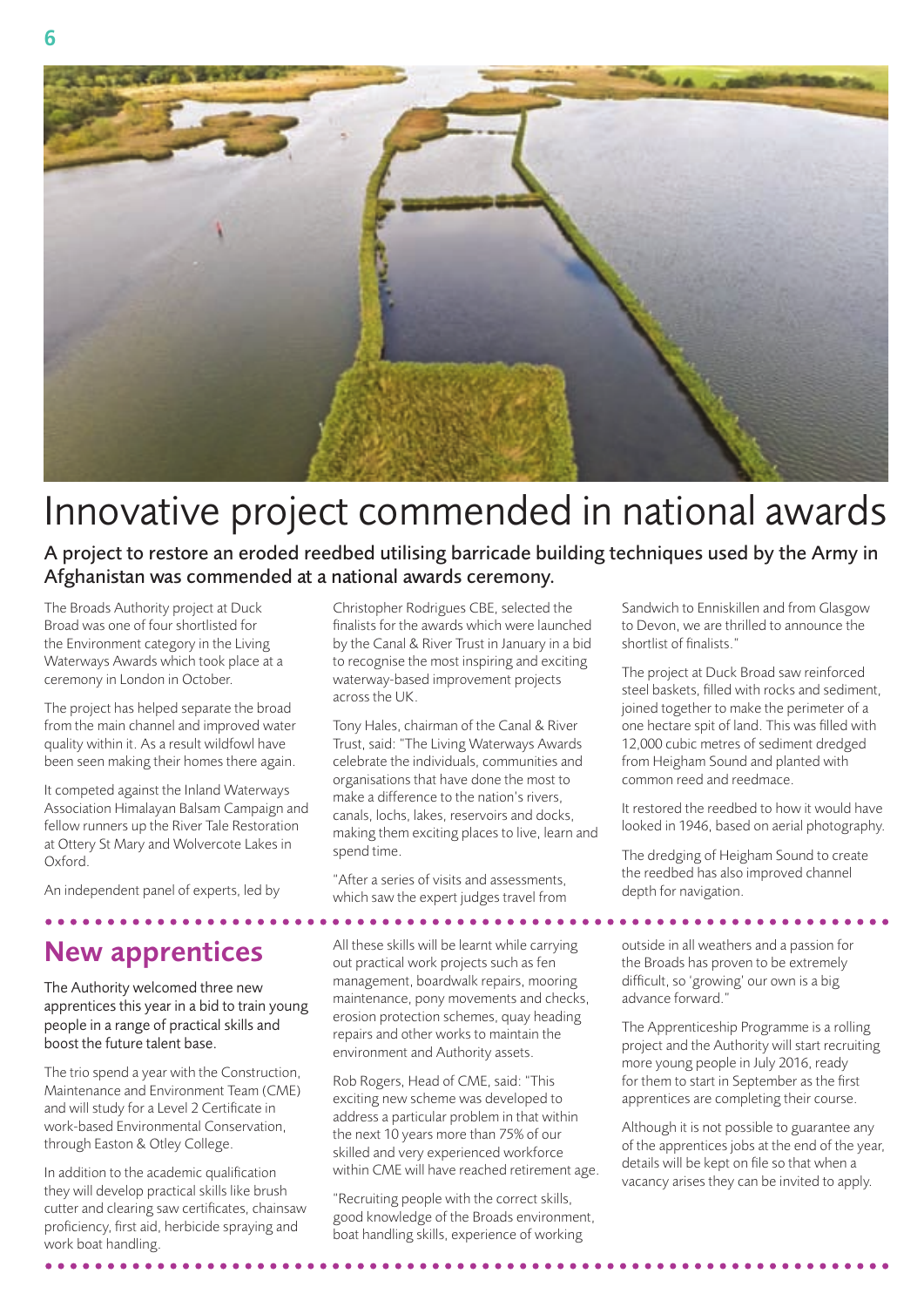

# Innovative project commended in national awards

A project to restore an eroded reedbed utilising barricade building techniques used by the Army in Afghanistan was commended at a national awards ceremony.

The Broads Authority project at Duck Broad was one of four shortlisted for the Environment category in the Living Waterways Awards which took place at a ceremony in London in October.

The project has helped separate the broad from the main channel and improved water quality within it. As a result wildfowl have been seen making their homes there again.

It competed against the Inland Waterways Association Himalayan Balsam Campaign and fellow runners up the River Tale Restoration at Ottery St Mary and Wolvercote Lakes in Oxford.

An independent panel of experts, led by

## New apprentices

The Authority welcomed three new apprentices this year in a bid to train young people in a range of practical skills and boost the future talent base.

The trio spend a year with the Construction, Maintenance and Environment Team (CME) and will study for a Level 2 Certificate in work-based Environmental Conservation, through Easton & Otley College.

In addition to the academic qualification they will develop practical skills like brush cutter and clearing saw certificates, chainsaw proficiency, first aid, herbicide spraying and work boat handling.

Christopher Rodrigues CBE, selected the finalists for the awards which were launched by the Canal & River Trust in January in a bid to recognise the most inspiring and exciting waterway-based improvement projects across the UK.

Tony Hales, chairman of the Canal & River Trust, said: "The Living Waterways Awards celebrate the individuals, communities and organisations that have done the most to make a difference to the nation's rivers canals, lochs, lakes, reservoirs and docks, making them exciting places to live, learn and spend time.

"After a series of visits and assessments, which saw the expert judges travel from

. . . . . . . . . .

All these skills will be learnt while carrying out practical work projects such as fen management, boardwalk repairs, mooring maintenance, pony movements and checks, erosion protection schemes, quay heading repairs and other works to maintain the environment and Authority assets.

Rob Rogers, Head of CME, said: "This exciting new scheme was developed to address a particular problem in that within the next 10 years more than 75% of our skilled and very experienced workforce within CME will have reached retirement age.

"Recruiting people with the correct skills, good knowledge of the Broads environment, boat handling skills, experience of working

Sandwich to Enniskillen and from Glasgow to Devon, we are thrilled to announce the shortlist of finalists."

The project at Duck Broad saw reinforced steel baskets, filled with rocks and sediment, joined together to make the perimeter of a one hectare spit of land. This was filled with 12,000 cubic metres of sediment dredged from Heigham Sound and planted with common reed and reedmace.

It restored the reedbed to how it would have looked in 1946, based on aerial photography.

The dredging of Heigham Sound to create the reedbed has also improved channel depth for navigation.

outside in all weathers and a passion for the Broads has proven to be extremely difficult, so 'growing' our own is a big advance forward."

. . . . . . . . . . . . .

The Apprenticeship Programme is a rolling project and the Authority will start recruiting more young people in July 2016, ready for them to start in September as the first apprentices are completing their course.

Although it is not possible to guarantee any of the apprentices jobs at the end of the year, details will be kept on file so that when a vacancy arises they can be invited to apply.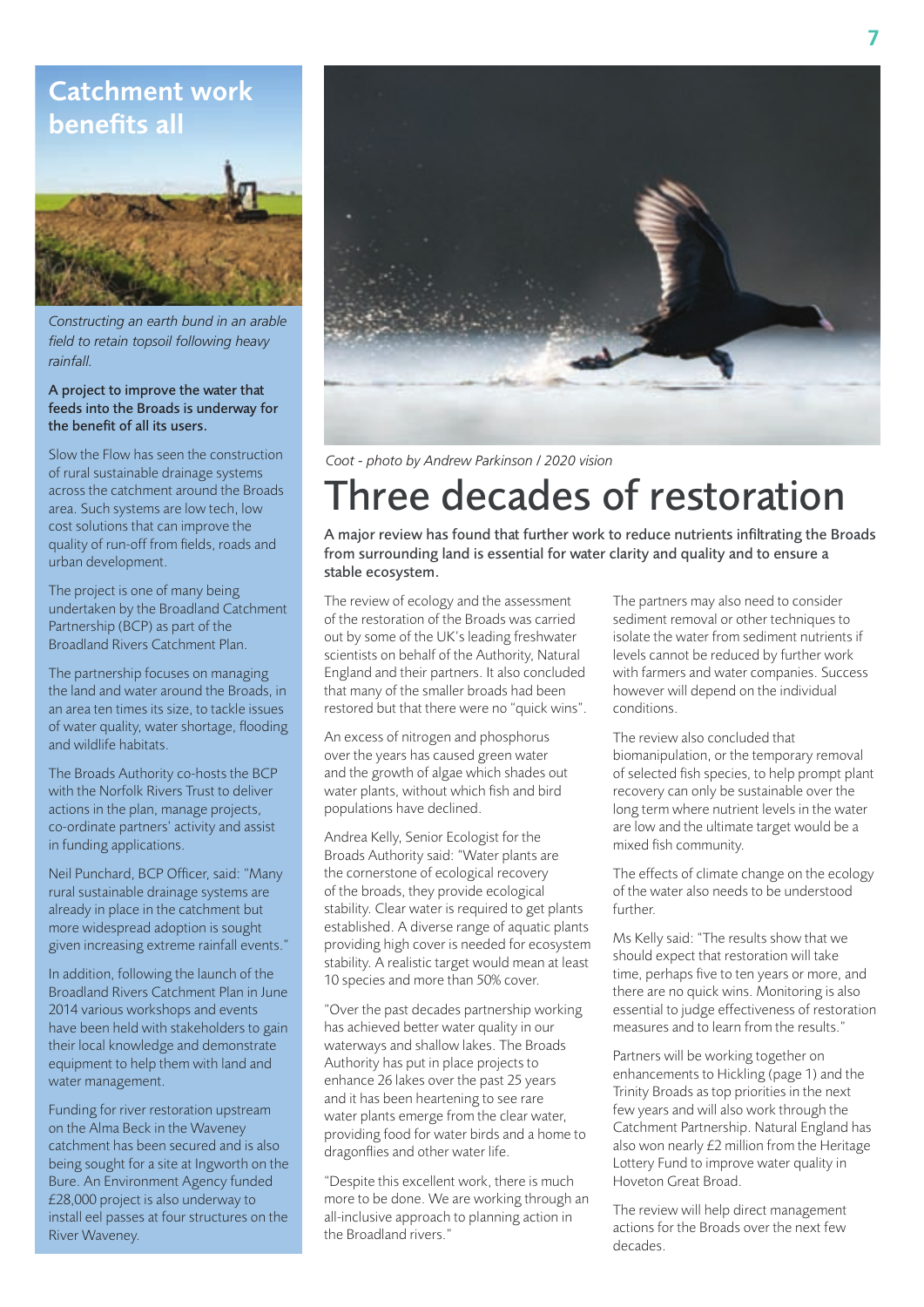#### Catchment work benefits all



*Constructing an earth bund in an arable field to retain topsoil following heavy rainfall.*

#### A project to improve the water that feeds into the Broads is underway for the benefit of all its users.

Slow the Flow has seen the construction of rural sustainable drainage systems across the catchment around the Broads area. Such systems are low tech, low cost solutions that can improve the quality of run-off from fields, roads and urban development.

The project is one of many being undertaken by the Broadland Catchment Partnership (BCP) as part of the Broadland Rivers Catchment Plan.

The partnership focuses on managing the land and water around the Broads, in an area ten times its size, to tackle issues of water quality, water shortage, flooding and wildlife habitats.

The Broads Authority co-hosts the BCP with the Norfolk Rivers Trust to deliver actions in the plan, manage projects, co-ordinate partners' activity and assist in funding applications.

Neil Punchard, BCP Officer, said: "Many rural sustainable drainage systems are already in place in the catchment but more widespread adoption is sought given increasing extreme rainfall events."

In addition, following the launch of the Broadland Rivers Catchment Plan in June 2014 various workshops and events have been held with stakeholders to gain their local knowledge and demonstrate equipment to help them with land and water management.

Funding for river restoration upstream on the Alma Beck in the Waveney catchment has been secured and is also being sought for a site at Ingworth on the Bure. An Environment Agency funded £28,000 project is also underway to install eel passes at four structures on the River Waveney.



*Coot - photo by Andrew Parkinson / 2020 vision*

# hree decades of restoration

A major review has found that further work to reduce nutrients infiltrating the Broads from surrounding land is essential for water clarity and quality and to ensure a stable ecosystem.

The review of ecology and the assessment of the restoration of the Broads was carried out by some of the UK's leading freshwater scientists on behalf of the Authority, Natural England and their partners. It also concluded that many of the smaller broads had been restored but that there were no "quick wins".

An excess of nitrogen and phosphorus over the years has caused green water and the growth of algae which shades out water plants, without which fish and bird populations have declined.

Andrea Kelly, Senior Ecologist for the Broads Authority said: "Water plants are the cornerstone of ecological recovery of the broads, they provide ecological stability. Clear water is required to get plants established. A diverse range of aquatic plants providing high cover is needed for ecosystem stability. A realistic target would mean at least 10 species and more than 50% cover.

"Over the past decades partnership working has achieved better water quality in our waterways and shallow lakes. The Broads Authority has put in place projects to enhance 26 lakes over the past 25 years and it has been heartening to see rare water plants emerge from the clear water, providing food for water birds and a home to dragonflies and other water life.

"Despite this excellent work, there is much more to be done. We are working through an all-inclusive approach to planning action in the Broadland rivers."

The partners may also need to consider sediment removal or other techniques to isolate the water from sediment nutrients if levels cannot be reduced by further work with farmers and water companies. Success however will depend on the individual conditions.

The review also concluded that biomanipulation, or the temporary removal of selected fish species, to help prompt plant recovery can only be sustainable over the long term where nutrient levels in the water are low and the ultimate target would be a mixed fish community.

The effects of climate change on the ecology of the water also needs to be understood further.

Ms Kelly said: "The results show that we should expect that restoration will take time, perhaps five to ten years or more, and there are no quick wins. Monitoring is also essential to judge effectiveness of restoration measures and to learn from the results."

Partners will be working together on enhancements to Hickling (page 1) and the Trinity Broads as top priorities in the next few years and will also work through the Catchment Partnership. Natural England has also won nearly £2 million from the Heritage Lottery Fund to improve water quality in Hoveton Great Broad.

The review will help direct management actions for the Broads over the next few decades.